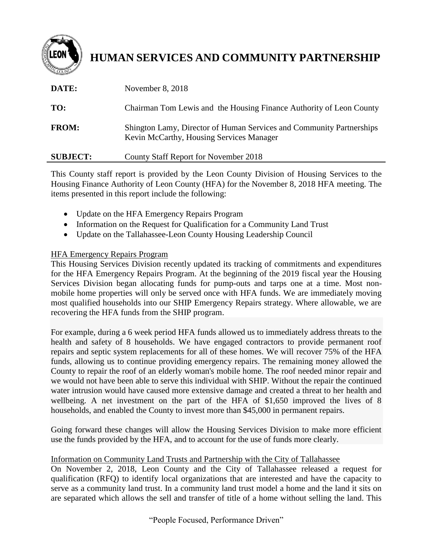

## **HUMAN SERVICES AND COMMUNITY PARTNERSHIP**

| DATE:           | November 8, 2018                                                                                                 |
|-----------------|------------------------------------------------------------------------------------------------------------------|
| TO:             | Chairman Tom Lewis and the Housing Finance Authority of Leon County                                              |
| <b>FROM:</b>    | Shington Lamy, Director of Human Services and Community Partnerships<br>Kevin McCarthy, Housing Services Manager |
| <b>SUBJECT:</b> | County Staff Report for November 2018                                                                            |

This County staff report is provided by the Leon County Division of Housing Services to the Housing Finance Authority of Leon County (HFA) for the November 8, 2018 HFA meeting. The items presented in this report include the following:

- Update on the HFA Emergency Repairs Program
- Information on the Request for Qualification for a Community Land Trust
- Update on the Tallahassee-Leon County Housing Leadership Council

## HFA Emergency Repairs Program

This Housing Services Division recently updated its tracking of commitments and expenditures for the HFA Emergency Repairs Program. At the beginning of the 2019 fiscal year the Housing Services Division began allocating funds for pump-outs and tarps one at a time. Most nonmobile home properties will only be served once with HFA funds. We are immediately moving most qualified households into our SHIP Emergency Repairs strategy. Where allowable, we are recovering the HFA funds from the SHIP program.

For example, during a 6 week period HFA funds allowed us to immediately address threats to the health and safety of 8 households. We have engaged contractors to provide permanent roof repairs and septic system replacements for all of these homes. We will recover 75% of the HFA funds, allowing us to continue providing emergency repairs. The remaining money allowed the County to repair the roof of an elderly woman's mobile home. The roof needed minor repair and we would not have been able to serve this individual with SHIP. Without the repair the continued water intrusion would have caused more extensive damage and created a threat to her health and wellbeing. A net investment on the part of the HFA of \$1,650 improved the lives of 8 households, and enabled the County to invest more than \$45,000 in permanent repairs.

Going forward these changes will allow the Housing Services Division to make more efficient use the funds provided by the HFA, and to account for the use of funds more clearly.

## Information on Community Land Trusts and Partnership with the City of Tallahassee

On November 2, 2018, Leon County and the City of Tallahassee released a request for qualification (RFQ) to identify local organizations that are interested and have the capacity to serve as a community land trust. In a community land trust model a home and the land it sits on are separated which allows the sell and transfer of title of a home without selling the land. This